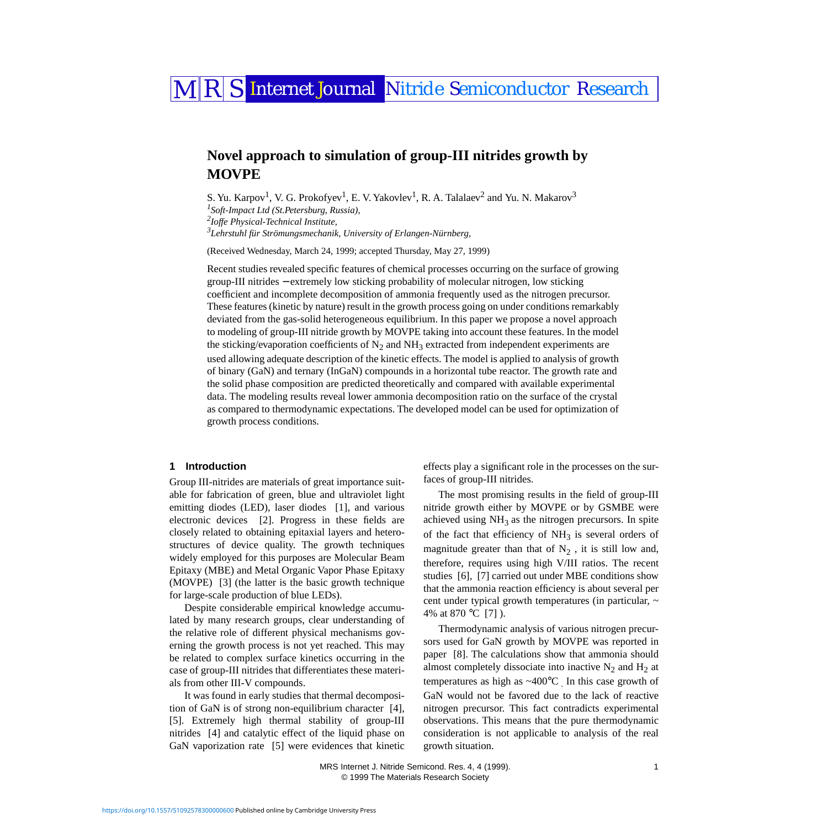# MRS Internet Journal Nitride Semiconductor Research

## **Novel approach to simulation of group-III nitrides growth by MOVPE**

<span id="page-0-1"></span><span id="page-0-0"></span>S. Yu. Karpov $^1$ , V. G. Prokofyev $^1$ , E. V. Yakovlev $^1$ , R. A. Talalaev $^2$  $^2$  and Yu. N. Makarov $^3$  *Soft-Impact Ltd (St.Petersburg, Russia), Ioffe Physical-Technical Institute, Lehrstuhl für Strömungsmechanik, University of Erlangen-Nürnberg,* 

<span id="page-0-2"></span>(Received Wednesday, March 24, 1999; accepted Thursday, May 27, 1999)

Recent studies revealed specific features of chemical processes occurring on the surface of growing group-III nitrides − extremely low sticking probability of molecular nitrogen, low sticking coefficient and incomplete decomposition of ammonia frequently used as the nitrogen precursor. These features (kinetic by nature) result in the growth process going on under conditions remarkably deviated from the gas-solid heterogeneous equilibrium. In this paper we propose a novel approach to modeling of group-III nitride growth by MOVPE taking into account these features. In the model the sticking/evaporation coefficients of  $N_2$  and NH<sub>3</sub> extracted from independent experiments are used allowing adequate description of the kinetic effects. The model is applied to analysis of growth of binary (GaN) and ternary (InGaN) compounds in a horizontal tube reactor. The growth rate and the solid phase composition are predicted theoretically and compared with available experimental data. The modeling results reveal lower ammonia decomposition ratio on the surface of the crystal as compared to thermodynamic expectations. The developed model can be used for optimization of growth process conditions.

## <span id="page-0-3"></span>**1 Introduction**

Group III-nitrides are materials of great importance suitable for fabrication of green, blue and ultraviolet light emitting diodes (LED), laser diodes [\[1\]](#page-5-0), and various electronic devices [\[2\].](#page-5-1) Progress in these fields are closely related to obtaining epitaxial layers and heterostructures of device quality. The growth techniques widely employed for this purposes are Molecular Beam Epitaxy (MBE) and Metal Organic Vapor Phase Epitaxy (MOVPE) [\[3\]](#page-5-2) (the latter is the basic growth technique for large-scale production of blue LEDs).

Despite considerable empirical knowledge accumulated by many research groups, clear understanding of the relative role of different physical mechanisms governing the growth process is not yet reached. This may be related to complex surface kinetics occurring in the case of group-III nitrides that differentiates these materials from other III-V compounds.

It was found in early studies that thermal decomposition of GaN is of strong non-equilibrium character [\[4\]](#page-5-3), [\[5\].](#page-5-4) Extremely high thermal stability of group-III nitrides [\[4\]](#page-5-3) and catalytic effect of the liquid phase on GaN vaporization rate [\[5\]](#page-5-4) were evidences that kinetic effects play a significant role in the processes on the surfaces of group-III nitrides.

The most promising results in the field of group-III nitride growth either by MOVPE or by GSMBE were achieved using  $NH_3$  as the nitrogen precursors. In spite of the fact that efficiency of  $NH<sub>3</sub>$  is several orders of magnitude greater than that of  $N_2$ , it is still low and, therefore, requires using high V/III ratios. The recent studies [\[6\]](#page-5-5), [\[7\]](#page-5-6) carried out under MBE conditions show that the ammonia reaction efficiency is about several per cent under typical growth temperatures (in particular, ~ 4% at 870 °C [\[7\]](#page-5-6) ).

Thermodynamic analysis of various nitrogen precursors used for GaN growth by MOVPE was reported in paper [\[8\]](#page-5-7). The calculations show that ammonia should almost completely dissociate into inactive  $N_2$  and  $H_2$  at temperatures as high as  $\sim$ 400 $^{\circ}$ C . In this case growth of GaN would not be favored due to the lack of reactive nitrogen precursor. This fact contradicts experimental observations. This means that the pure thermodynamic consideration is not applicable to analysis of the real growth situation.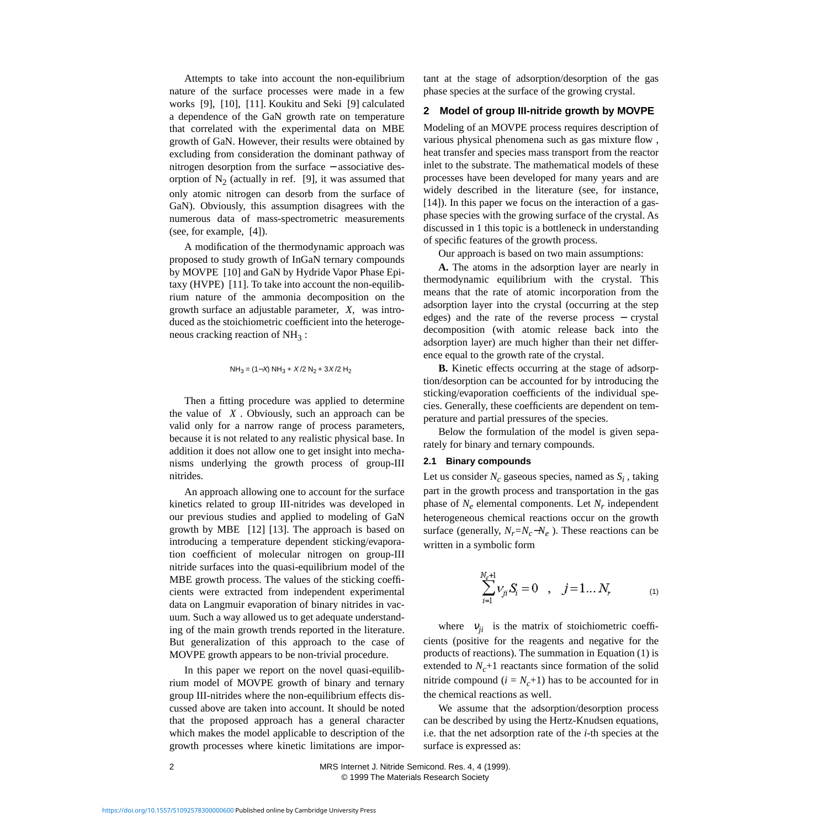Attempts to take into account the non-equilibrium nature of the surface processes were made in a few works [\[9\]](#page-5-8), [\[10\],](#page-5-9) [\[11\].](#page-5-10) Koukitu and Seki [\[9\]](#page-5-8) calculated a dependence of the GaN growth rate on temperature that correlated with the experimental data on MBE growth of GaN. However, their results were obtained by excluding from consideration the dominant pathway of nitrogen desorption from the surface − associative desorption of  $N_2$  (actually in ref. [\[9\]](#page-5-8), it was assumed that only atomic nitrogen can desorb from the surface of GaN). Obviously, this assumption disagrees with the numerous data of mass-spectrometric measurements (see, for example, [\[4\]](#page-5-3)).

A modification of the thermodynamic approach was proposed to study growth of InGaN ternary compounds by MOVPE [\[10\]](#page-5-9) and GaN by Hydride Vapor Phase Epitaxy (HVPE) [\[11\].](#page-5-10) To take into account the non-equilibrium nature of the ammonia decomposition on the growth surface an adjustable parameter, *X,* was introduced as the stoichiometric coefficient into the heterogeneous cracking reaction of  $NH<sub>3</sub>$ :

NH<sub>3</sub> = 
$$
(1-X)
$$
 NH<sub>3</sub> +  $X/2$  N<sub>2</sub> +  $3X/2$  H<sub>2</sub>

Then a fitting procedure was applied to determine the value of *X* . Obviously, such an approach can be valid only for a narrow range of process parameters, because it is not related to any realistic physical base. In addition it does not allow one to get insight into mechanisms underlying the growth process of group-III nitrides.

An approach allowing one to account for the surface kinetics related to group III-nitrides was developed in our previous studies and applied to modeling of GaN growth by MBE [\[12\]](#page-5-11) [\[13\]](#page-5-12). The approach is based on introducing a temperature dependent sticking/evaporation coefficient of molecular nitrogen on group-III nitride surfaces into the quasi-equilibrium model of the MBE growth process. The values of the sticking coefficients were extracted from independent experimental data on Langmuir evaporation of binary nitrides in vacuum. Such a way allowed us to get adequate understanding of the main growth trends reported in the literature. But generalization of this approach to the case of MOVPE growth appears to be non-trivial procedure.

In this paper we report on the novel quasi-equilibrium model of MOVPE growth of binary and ternary group III-nitrides where the non-equilibrium effects discussed above are taken into account. It should be noted that the proposed approach has a general character which makes the model applicable to description of the growth processes where kinetic limitations are important at the stage of adsorption/desorption of the gas phase species at the surface of the growing crystal.

## **2 Model of group III-nitride growth by MOVPE**

Modeling of an MOVPE process requires description of various physical phenomena such as gas mixture flow , heat transfer and species mass transport from the reactor inlet to the substrate. The mathematical models of these processes have been developed for many years and are widely described in the literature (see, for instance, [\[14\]\)](#page-5-13). In this paper we focus on the interaction of a gasphase species with the growing surface of the crystal. As discussed in [1](#page-0-3) this topic is a bottleneck in understanding of specific features of the growth process.

Our approach is based on two main assumptions:

**A.** The atoms in the adsorption layer are nearly in thermodynamic equilibrium with the crystal. This means that the rate of atomic incorporation from the adsorption layer into the crystal (occurring at the step edges) and the rate of the reverse process – crystal decomposition (with atomic release back into the adsorption layer) are much higher than their net difference equal to the growth rate of the crystal.

**B.** Kinetic effects occurring at the stage of adsorption/desorption can be accounted for by introducing the sticking/evaporation coefficients of the individual species. Generally, these coefficients are dependent on temperature and partial pressures of the species.

Below the formulation of the model is given separately for binary and ternary compounds.

#### **2.1 Binary compounds**

Let us consider  $N_c$  gaseous species, named as  $S_i$ , taking part in the growth process and transportation in the gas phase of  $N_e$  elemental components. Let  $N_r$  independent heterogeneous chemical reactions occur on the growth surface (generally,  $N_r = N_c - N_e$ ). These reactions can be written in a symbolic form

$$
\sum_{i=1}^{N_c+1} \nu_{ji} S_i = 0 \quad , \quad j = 1...N_r \tag{1}
$$

<span id="page-1-0"></span>where  $v_{ji}$  is the matrix of stoichiometric coefficients (positive for the reagents and negative for the products of reactions). The summation in Equation [\(1\)](#page-1-0) is extended to  $N_c+1$  reactants since formation of the solid nitride compound  $(i = N_c + 1)$  has to be accounted for in the chemical reactions as well.

We assume that the adsorption/desorption process can be described by using the Hertz-Knudsen equations, i.e. that the net adsorption rate of the *i-*th species at the surface is expressed as: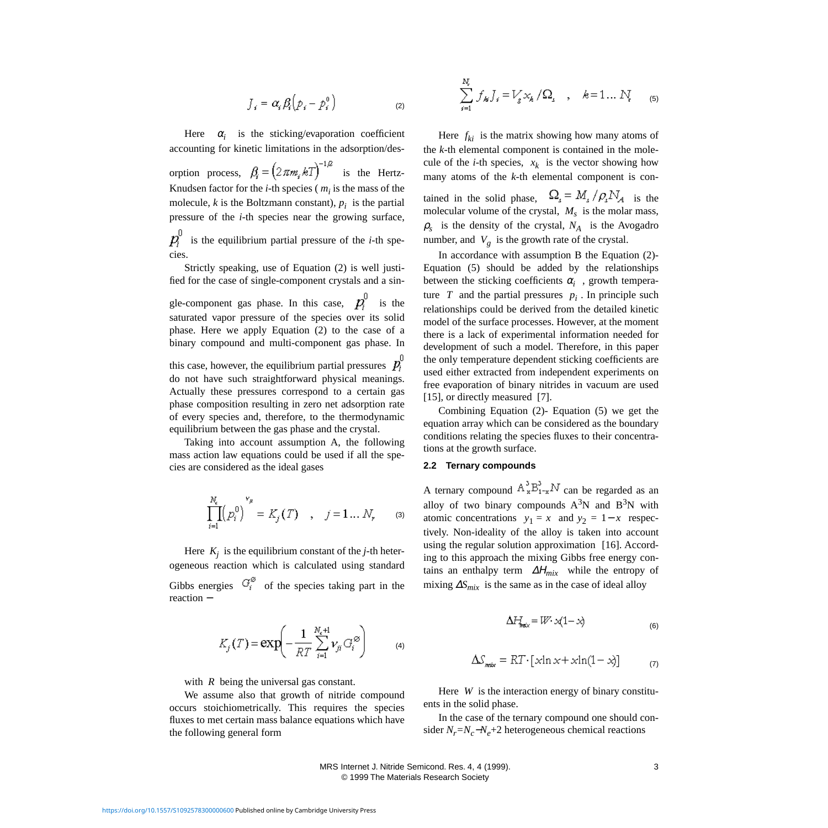$$
J_s = \alpha_s \beta_s \left( p_s - p_s^0 \right) \tag{2}
$$

<span id="page-2-0"></span>Here  $\alpha_i$  is the sticking/evaporation coefficient accounting for kinetic limitations in the adsorption/desorption process,  $\beta_i = (2 \pi m_i kT)^{-1/2}$  is the Hertz-Knudsen factor for the  $i$ -th species  $(m_i)$  is the mass of the molecule,  $k$  is the Boltzmann constant),  $p_i$  is the partial pressure of the *i*-th species near the growing surface,

 $p_i^0$  is the equilibrium partial pressure of the *i*-th species.

Strictly speaking, use of Equation [\(2\)](#page-2-0) is well justified for the case of single-component crystals and a single-component gas phase. In this case,  $p_i^{\mathrm{U}}$  is the

saturated vapor pressure of the species over its solid phase. Here we apply Equation [\(2\)](#page-2-0) to the case of a binary compound and multi-component gas phase. In

this case, however, the equilibrium partial pressures  $p_i^0$ do not have such straightforward physical meanings. Actually these pressures correspond to a certain gas phase composition resulting in zero net adsorption rate of every species and, therefore, to the thermodynamic equilibrium between the gas phase and the crystal.

Taking into account assumption A, the following mass action law equations could be used if all the species are considered as the ideal gases

$$
\prod_{i=1}^{N_c} (p_i^0)^{v_{\mu}} = K_j(T) \quad , \quad j = 1 \dots N, \qquad (3)
$$

Here  $K_j$  is the equilibrium constant of the *j*-th heterogeneous reaction which is calculated using standard Gibbs energies  $G_i^{\emptyset}$  of the species taking part in the reaction −

$$
K_j(T) = \exp\left(-\frac{1}{RT} \sum_{i=1}^{N_c+1} \nu_{ji} G_i^{\otimes} \right) \tag{4}
$$

with *R* being the universal gas constant.

We assume also that growth of nitride compound occurs stoichiometrically. This requires the species fluxes to met certain mass balance equations which have the following general form

<span id="page-2-1"></span>
$$
\sum_{i=1}^{N_e} f_{kj} J_i = V_g x_k / \Omega_i \quad , \quad k = 1 ... N_e \quad (5)
$$

Here  $f_{ki}$  is the matrix showing how many atoms of the *k*-th elemental component is contained in the molecule of the *i*-th species,  $x_k$  is the vector showing how many atoms of the *k*-th elemental component is contained in the solid phase,  $\Omega_s = M_s / \rho_s N_A$  is the molecular volume of the crystal,  $M_s$  is the molar mass,  $\rho_s$  is the density of the crystal,  $N_A$  is the Avogadro number, and  $V_g$  is the growth rate of the crystal.

In accordance with assumption B the Equation [\(2\)-](#page-2-0) Equation [\(5\)](#page-2-1) should be added by the relationships between the sticking coefficients  $\alpha_i$ , growth temperature  $T$  and the partial pressures  $p_i$ . In principle such relationships could be derived from the detailed kinetic model of the surface processes. However, at the moment there is a lack of experimental information needed for development of such a model. Therefore, in this paper the only temperature dependent sticking coefficients are used either extracted from independent experiments on free evaporation of binary nitrides in vacuum are used [\[15\],](#page-5-14) or directly measured [\[7\]](#page-5-6).

Combining Equation [\(2\)-](#page-2-0) Equation [\(5\)](#page-2-1) we get the equation array which can be considered as the boundary conditions relating the species fluxes to their concentrations at the growth surface.

## **2.2 Ternary compounds**

A ternary compound  $A_x^3 B_{1-x}^3 N$  can be regarded as an alloy of two binary compounds  $A^3N$  and  $B^3N$  with atomic concentrations  $y_1 = x$  and  $y_2 = 1 - x$  respectively. Non-ideality of the alloy is taken into account using the regular solution approximation [\[16\]](#page-5-15). According to this approach the mixing Gibbs free energy contains an enthalpy term ∆Η*mix* while the entropy of mixing ∆*Smix* is the same as in the case of ideal alloy

$$
\Delta H_{\text{max}} = W \cdot \mathcal{A} \left(1 - \mathcal{A}\right) \tag{6}
$$

$$
\Delta S_{\text{max}} = RT \cdot [x \ln x + x \ln(1 - x)] \tag{7}
$$

Here *W* is the interaction energy of binary constituents in the solid phase.

In the case of the ternary compound one should consider  $N_r = N_c - N_e + 2$  heterogeneous chemical reactions

 MRS Internet J. Nitride Semicond. Res. 4, 4 (1999). 3 © 1999 The Materials Research Society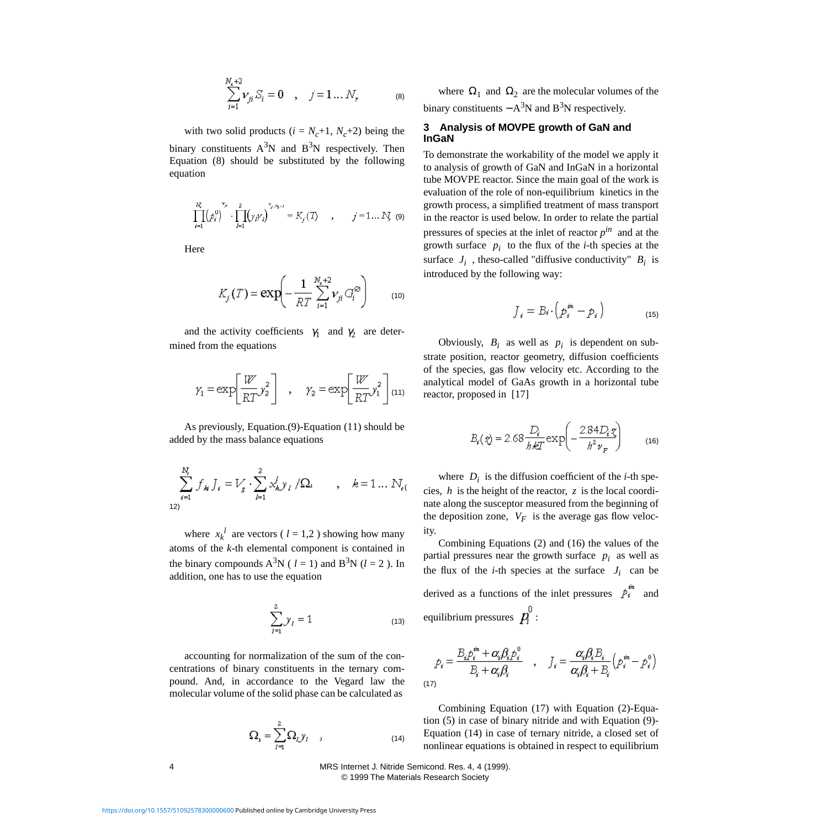$$
\sum_{i=1}^{N_e+2} \nu_{ji} S_i = 0 \quad , \quad j = 1 \dots N_r \tag{8}
$$

<span id="page-3-0"></span>with two solid products  $(i = N_c+1, N_c+2)$  being the binary constituents  $A^3N$  and  $B^3N$  respectively. Then Equation [\(8\)](#page-3-0) should be substituted by the following equation

<span id="page-3-3"></span>
$$
\prod_{j=1}^{N_c} (p_j^0)^{\nu_{j0}} \cdot \prod_{j=1}^2 (y_j \gamma_j)^{\nu_{j0} \alpha_{j0}} = K_j(T) \qquad , \qquad j = 1 \dots N_c
$$
 (9)

Here

$$
K_j(T) = \exp\left(-\frac{1}{RT} \sum_{i=1}^{N_c+2} \nu_{ji} G_i^{\otimes} \right) \tag{10}
$$

<span id="page-3-1"></span>and the activity coefficients  $\gamma_1$  and  $\gamma_2$  are determined from the equations

$$
\gamma_1 = \exp\left[\frac{W}{RT} y_2^2\right] , \quad \gamma_2 = \exp\left[\frac{W}{RT} y_1^2\right]_{(11)}
$$

As previously, Equation.(9)-Equation [\(11\)](#page-3-1) should be added by the mass balance equations

$$
\sum_{i=1}^{N_{\epsilon}} f_{ki} J_i = V_g \cdot \sum_{l=1}^{2} x_{ki}^{l} y_l / \Omega_i \qquad , \quad k = 1 \dots N_{\epsilon(}
$$

where  $x_k^l$  are vectors (  $l = 1,2$  ) showing how many atoms of the *k*-th elemental component is contained in the binary compounds  $A^3N$  ( *l* = 1) and  $B^3N$  (*l* = 2). In addition, one has to use the equation

$$
\sum_{l=1}^{2} y_{l} = 1
$$
 (13)

<span id="page-3-4"></span>accounting for normalization of the sum of the concentrations of binary constituents in the ternary compound. And, in accordance to the Vegard law the molecular volume of the solid phase can be calculated as

$$
\Omega_{s} = \sum_{l=1}^{2} \Omega_{l} y_{l} \qquad (14)
$$

where  $\Omega_1$  and  $\Omega_2$  are the molecular volumes of the binary constituents  $-A^3N$  and  $B^3N$  respectively.

## **3 Analysis of MOVPE growth of GaN and InGaN**

To demonstrate the workability of the model we apply it to analysis of growth of GaN and InGaN in a horizontal tube MOVPE reactor. Since the main goal of the work is evaluation of the role of non-equilibrium kinetics in the growth process, a simplified treatment of mass transport in the reactor is used below. In order to relate the partial pressures of species at the inlet of reactor  $p^{in}$  and at the growth surface  $p_i$  to the flux of the *i*-th species at the surface  $J_i$ , theso-called "diffusive conductivity"  $B_i$  is introduced by the following way:

$$
J_i = B_i \cdot \left( p_i^m - p_i \right) \tag{15}
$$

Obviously,  $B_i$  as well as  $p_i$  is dependent on substrate position, reactor geometry, diffusion coefficients of the species, gas flow velocity etc. According to the analytical model of GaAs growth in a horizontal tube reactor, proposed in [\[17\]](#page-5-16) 

$$
B_{s}(z) = 2.68 \frac{D_{s}}{h \& T} \exp\left(-\frac{2.84 D_{s} z}{h^{2} \nu_{F}}\right)
$$
 (16)

where  $D_i$  is the diffusion coefficient of the *i*-th species, *h* is the height of the reactor, *z* is the local coordinate along the susceptor measured from the beginning of the deposition zone,  $V_F$  is the average gas flow velocity.

Combining Equations (2) and (16) the values of the partial pressures near the growth surface  $p_i$  as well as the flux of the *i*-th species at the surface  $J_i$  can be derived as a functions of the inlet pressures  $\hat{P}_{i}^{m}$  and equilibrium pressures  $p_i^0$ :

<span id="page-3-2"></span>
$$
p_i = \frac{B_i p_i^m + \alpha_i \beta_i p_i^0}{B_i + \alpha_i \beta_i} \quad , \quad J_i = \frac{\alpha_i \beta_i B_i}{\alpha_i \beta_i + B_i} \left( p_i^m - p_i^0 \right)
$$
\n
$$
\tag{17}
$$

Combining Equation [\(17\)](#page-3-2) with Equation [\(2\)-](#page-2-0)Equation [\(5\)](#page-2-1) in case of binary nitride and with Equation [\(9\)-](#page-3-3) Equation [\(14\)](#page-3-4) in case of ternary nitride, a closed set of nonlinear equations is obtained in respect to equilibrium

4 MRS Internet J. Nitride Semicond. Res. 4, 4 (1999). © 1999 The Materials Research Society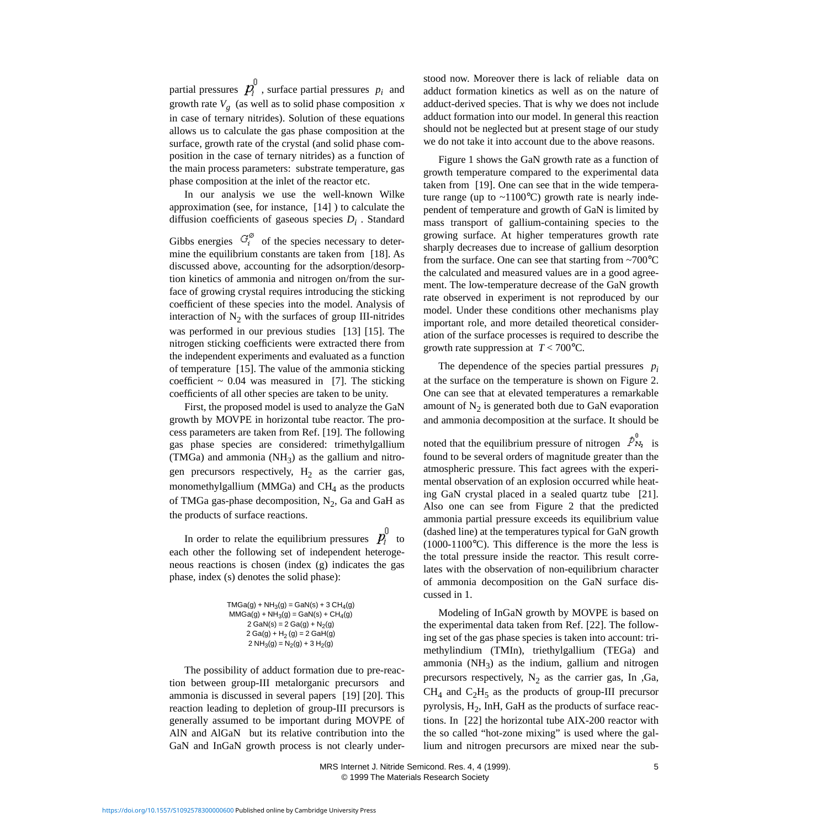partial pressures  $p_i$ , surface partial pressures  $p_i$  and growth rate  $V_g$  (as well as to solid phase composition  $x$ in case of ternary nitrides). Solution of these equations allows us to calculate the gas phase composition at the surface, growth rate of the crystal (and solid phase composition in the case of ternary nitrides) as a function of the main process parameters: substrate temperature, gas phase composition at the inlet of the reactor etc.

In our analysis we use the well-known Wilke approximation (see, for instance, [\[14\]](#page-5-13) ) to calculate the diffusion coefficients of gaseous species *Di* . Standard

Gibbs energies  $G_i^{\emptyset}$  of the species necessary to determine the equilibrium constants are taken from [\[18\]](#page-5-17). As discussed above, accounting for the adsorption/desorption kinetics of ammonia and nitrogen on/from the surface of growing crystal requires introducing the sticking coefficient of these species into the model. Analysis of interaction of  $N_2$  with the surfaces of group III-nitrides was performed in our previous studies [\[13\]](#page-5-12) [\[15\]](#page-5-14). The nitrogen sticking coefficients were extracted there from the independent experiments and evaluated as a function of temperature [\[15\].](#page-5-14) The value of the ammonia sticking coefficient  $\sim 0.04$  was measured in [\[7\]](#page-5-6). The sticking coefficients of all other species are taken to be unity.

First, the proposed model is used to analyze the GaN growth by MOVPE in horizontal tube reactor. The process parameters are taken from Ref. [\[19\]](#page-5-18). The following gas phase species are considered: trimethylgallium (TMGa) and ammonia (NH<sub>3</sub>) as the gallium and nitrogen precursors respectively,  $H_2$  as the carrier gas, monomethylgallium (MMGa) and  $CH<sub>4</sub>$  as the products of TMGa gas-phase decomposition,  $N_2$ , Ga and GaH as the products of surface reactions.

In order to relate the equilibrium pressures  $p_i^0$  to each other the following set of independent heterogeneous reactions is chosen (index (g) indicates the gas phase, index (s) denotes the solid phase):

```
TMGa(g) + NH<sub>3</sub>(g) = GaN(s) + 3 CH<sub>4</sub>(g)MMGa(g) + NH_3(g) = GaN(s) + CH_4(g)2 GaN(s) = 2 Ga(g) + N<sub>2</sub>(g)
2 Ga(g) + H_2(g) = 2 GaH(g)2 NH<sub>3</sub>(g) = N<sub>2</sub>(g) + 3 H<sub>2</sub>(g)
```
The possibility of adduct formation due to pre-reaction between group-III metalorganic precursors and ammonia is discussed in several papers [\[19\]](#page-5-18) [\[20\].](#page-5-19) This reaction leading to depletion of group-III precursors is generally assumed to be important during MOVPE of AlN and AlGaN but its relative contribution into the GaN and InGaN growth process is not clearly understood now. Moreover there is lack of reliable data on adduct formation kinetics as well as on the nature of adduct-derived species. That is why we does not include adduct formation into our model. In general this reaction should not be neglected but at present stage of our study we do not take it into account due to the above reasons.

Figure [1](#page-5-20) shows the GaN growth rate as a function of growth temperature compared to the experimental data taken from [\[19\]](#page-5-18). One can see that in the wide temperature range (up to  $\sim$ 1100 $^{\circ}$ C) growth rate is nearly independent of temperature and growth of GaN is limited by mass transport of gallium-containing species to the growing surface. At higher temperatures growth rate sharply decreases due to increase of gallium desorption from the surface. One can see that starting from  $\sim 700^{\circ}$ C the calculated and measured values are in a good agreement. The low-temperature decrease of the GaN growth rate observed in experiment is not reproduced by our model. Under these conditions other mechanisms play important role, and more detailed theoretical consideration of the surface processes is required to describe the growth rate suppression at  $T < 700^{\circ}$ C.

The dependence of the species partial pressures *pi* at the surface on the temperature is shown on Figure [2](#page-5-20). One can see that at elevated temperatures a remarkable amount of  $N_2$  is generated both due to GaN evaporation and ammonia decomposition at the surface. It should be

noted that the equilibrium pressure of nitrogen  $\tilde{P}_{N_1}$  is found to be several orders of magnitude greater than the atmospheric pressure. This fact agrees with the experimental observation of an explosion occurred while heating GaN crystal placed in a sealed quartz tube [\[21\]](#page-5-21). Also one can see from Figure [2](#page-5-20) that the predicted ammonia partial pressure exceeds its equilibrium value (dashed line) at the temperatures typical for GaN growth  $(1000-1100\degree C)$ . This difference is the more the less is the total pressure inside the reactor. This result correlates with the observation of non-equilibrium character of ammonia decomposition on the GaN surface discussed in [1](#page-0-3).

Modeling of InGaN growth by MOVPE is based on the experimental data taken from Ref. [\[22\]](#page-5-22). The following set of the gas phase species is taken into account: trimethylindium (TMIn), triethylgallium (TEGa) and ammonia ( $NH<sub>3</sub>$ ) as the indium, gallium and nitrogen precursors respectively,  $N_2$  as the carrier gas, In ,Ga,  $CH<sub>4</sub>$  and  $C<sub>2</sub>H<sub>5</sub>$  as the products of group-III precursor pyrolysis,  $H<sub>2</sub>$ , InH, GaH as the products of surface reactions. In [\[22\]](#page-5-22) the horizontal tube AIX-200 reactor with the so called "hot-zone mixing" is used where the gallium and nitrogen precursors are mixed near the sub-

 MRS Internet J. Nitride Semicond. Res. 4, 4 (1999). 5 © 1999 The Materials Research Society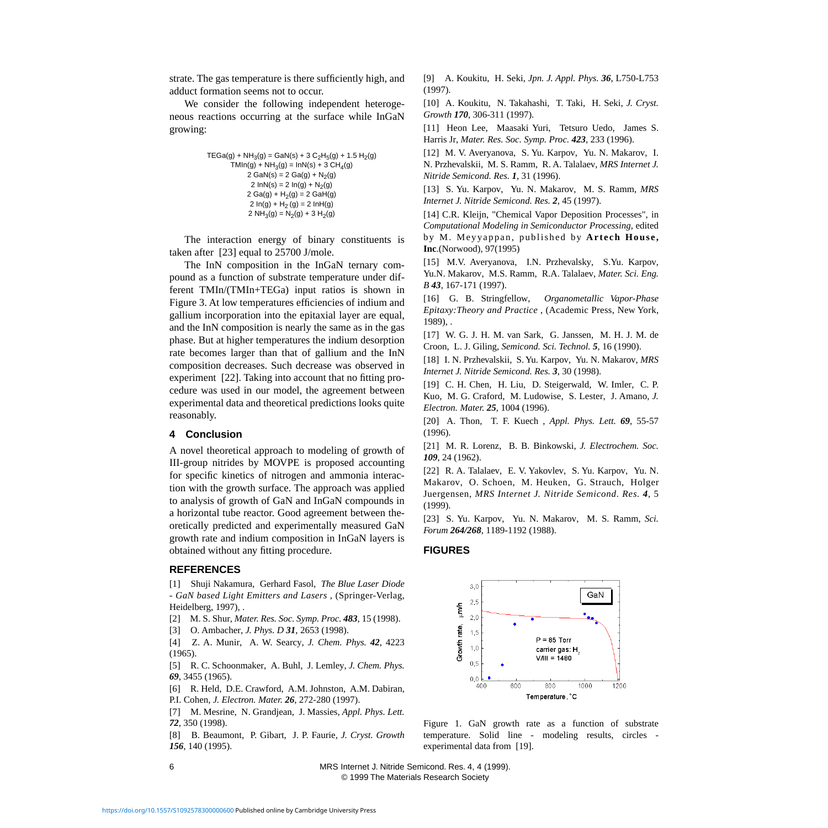strate. The gas temperature is there sufficiently high, and adduct formation seems not to occur.

We consider the following independent heterogeneous reactions occurring at the surface while InGaN growing:

```
TEGa(g) + NH_3(g) = GaN(s) + 3 C_2H_5(g) + 1.5 H_2(g)TMIn(g) + NH<sub>3</sub>(g) = InN(s) + 3 CH<sub>4</sub>(g)2 GaN(s) = 2 Ga(g) + N<sub>2</sub>(g)
         2 \ln N(s) = 2 \ln(g) + N_2(g)2 Ga(g) + H<sub>2</sub>(g) = 2 GaH(g)2 \ln(g) + H_2(g) = 2 \ln(H(g))2 NH<sub>3</sub>(g) = N<sub>2</sub>(g) + 3 H<sub>2</sub>(g)
```
The interaction energy of binary constituents is taken after [\[23\]](#page-5-23) equal to 25700 J/mole.

The InN composition in the InGaN ternary compound as a function of substrate temperature under different TMIn/(TMIn+TEGa) input ratios is shown in Figure [3.](#page-5-20) At low temperatures efficiencies of indium and gallium incorporation into the epitaxial layer are equal, and the InN composition is nearly the same as in the gas phase. But at higher temperatures the indium desorption rate becomes larger than that of gallium and the InN composition decreases. Such decrease was observed in experiment [\[22\]](#page-5-22). Taking into account that no fitting procedure was used in our model, the agreement between experimental data and theoretical predictions looks quite reasonably.

#### **4 Conclusion**

A novel theoretical approach to modeling of growth of III-group nitrides by MOVPE is proposed accounting for specific kinetics of nitrogen and ammonia interaction with the growth surface. The approach was applied to analysis of growth of GaN and InGaN compounds in a horizontal tube reactor. Good agreement between theoretically predicted and experimentally measured GaN growth rate and indium composition in InGaN layers is obtained without any fitting procedure.

### **REFERENCES**

<span id="page-5-0"></span>[1] Shuji Nakamura, Gerhard Fasol, *The Blue Laser Diode - GaN based Light Emitters and Lasers* , (Springer-Verlag, Heidelberg, 1997), .

- <span id="page-5-1"></span>[2] M. S. Shur, *Mater. Res. Soc. Symp. Proc. 483*, 15 (1998).
- <span id="page-5-2"></span>[3] O. Ambacher, *J. Phys. D 31*, 2653 (1998).

<span id="page-5-3"></span>[4] Z. A. Munir, A. W. Searcy, *J. Chem. Phys. 42*, 4223 (1965).

<span id="page-5-4"></span>[5] R. C. Schoonmaker, A. Buhl, J. Lemley, *J. Chem. Phys. 69*, 3455 (1965).

<span id="page-5-5"></span>[6] R. Held, D.E. Crawford, A.M. Johnston, A.M. Dabiran, P.I. Cohen, *J. Electron. Mater. 26*, 272-280 (1997).

<span id="page-5-6"></span>[7] M. Mesrine, N. Grandjean, J. Massies, *Appl. Phys. Lett. 72*, 350 (1998).

<span id="page-5-7"></span>[8] B. Beaumont, P. Gibart, J. P. Faurie, *J. Cryst. Growth 156*, 140 (1995).

<span id="page-5-8"></span>[9] A. Koukitu, H. Seki, *Jpn. J. Appl. Phys. 36*, L750-L753 (1997).

<span id="page-5-9"></span>[10] A. Koukitu, N. Takahashi, T. Taki, H. Seki, *J. Cryst. Growth 170*, 306-311 (1997).

<span id="page-5-10"></span>[11] Heon Lee, Maasaki Yuri, Tetsuro Uedo, James S. Harris Jr, *Mater. Res. Soc. Symp. Proc. 423*, 233 (1996).

<span id="page-5-11"></span>[12] M. V. Averyanova, S. Yu. Karpov, Yu. N. Makarov, I. N. Przhevalskii, M. S. Ramm, R. A. Talalaev, *MRS Internet J. Nitride Semicond. Res. 1*, 31 (1996).

<span id="page-5-12"></span>[13] S. Yu. Karpov, Yu. N. Makarov, M. S. Ramm, *MRS Internet J. Nitride Semicond. Res. 2*, 45 (1997).

<span id="page-5-13"></span>[14] C.R. Kleijn, "Chemical Vapor Deposition Processes", in *Computational Modeling in Semiconductor Processing*, edited by M. Meyyappan, published by **Artech House, Inc**.(Norwood), 97(1995)

<span id="page-5-14"></span>[15] M.V. Averyanova, I.N. Przhevalsky, S.Yu. Karpov, Yu.N. Makarov, M.S. Ramm, R.A. Talalaev, *Mater. Sci. Eng. B 43*, 167-171 (1997).

<span id="page-5-15"></span>[16] G. B. Stringfellow, *Organometallic Vapor-Phase Epitaxy:Theory and Practice* , (Academic Press, New York, 1989), .

<span id="page-5-16"></span>[17] W. G. J. H. M. van Sark, G. Janssen, M. H. J. M. de Croon, L. J. Giling, *Semicond. Sci. Technol. 5*, 16 (1990).

<span id="page-5-17"></span>[18] I. N. Przhevalskii, S. Yu. Karpov, Yu. N. Makarov, *MRS Internet J. Nitride Semicond. Res. 3*, 30 (1998).

<span id="page-5-18"></span>[19] C. H. Chen, H. Liu, D. Steigerwald, W. Imler, C. P. Kuo, M. G. Craford, M. Ludowise, S. Lester, J. Amano, *J. Electron. Mater. 25*, 1004 (1996).

<span id="page-5-19"></span>[20] A. Thon, T. F. Kuech , *Appl. Phys. Lett. 69*, 55-57 (1996).

<span id="page-5-21"></span>[21] M. R. Lorenz, B. B. Binkowski, *J. Electrochem. Soc. 109*, 24 (1962).

<span id="page-5-22"></span>[22] R. A. Talalaev, E. V. Yakovlev, S. Yu. Karpov, Yu. N. Makarov, O. Schoen, M. Heuken, G. Strauch, Holger Juergensen, *MRS Internet J. Nitride Semicond. Res. 4*, 5 (1999).

<span id="page-5-23"></span>[23] S. Yu. Karpov, Yu. N. Makarov, M. S. Ramm, *Sci. Forum 264/268*, 1189-1192 (1988).

#### <span id="page-5-20"></span>**FIGURES**



Figure 1. GaN growth rate as a function of substrate temperature. Solid line - modeling results, circles experimental data from [\[19\]](#page-5-18).

6 MRS Internet J. Nitride Semicond. Res. 4, 4 (1999). © 1999 The Materials Research Society